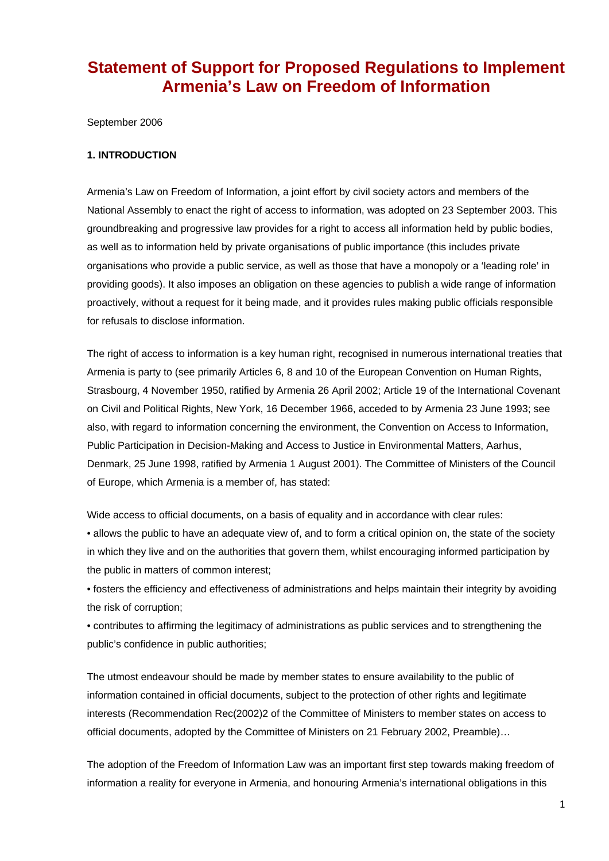## **Statement of Support for Proposed Regulations to Implement Armenia's Law on Freedom of Information**

September 2006

## **1. INTRODUCTION**

Armenia's Law on Freedom of Information, a joint effort by civil society actors and members of the National Assembly to enact the right of access to information, was adopted on 23 September 2003. This groundbreaking and progressive law provides for a right to access all information held by public bodies, as well as to information held by private organisations of public importance (this includes private organisations who provide a public service, as well as those that have a monopoly or a 'leading role' in providing goods). It also imposes an obligation on these agencies to publish a wide range of information proactively, without a request for it being made, and it provides rules making public officials responsible for refusals to disclose information.

The right of access to information is a key human right, recognised in numerous international treaties that Armenia is party to (see primarily Articles 6, 8 and 10 of the European Convention on Human Rights, Strasbourg, 4 November 1950, ratified by Armenia 26 April 2002; Article 19 of the International Covenant on Civil and Political Rights, New York, 16 December 1966, acceded to by Armenia 23 June 1993; see also, with regard to information concerning the environment, the Convention on Access to Information, Public Participation in Decision-Making and Access to Justice in Environmental Matters, Aarhus, Denmark, 25 June 1998, ratified by Armenia 1 August 2001). The Committee of Ministers of the Council of Europe, which Armenia is a member of, has stated:

Wide access to official documents, on a basis of equality and in accordance with clear rules:

• allows the public to have an adequate view of, and to form a critical opinion on, the state of the society in which they live and on the authorities that govern them, whilst encouraging informed participation by the public in matters of common interest;

• fosters the efficiency and effectiveness of administrations and helps maintain their integrity by avoiding the risk of corruption;

• contributes to affirming the legitimacy of administrations as public services and to strengthening the public's confidence in public authorities;

The utmost endeavour should be made by member states to ensure availability to the public of information contained in official documents, subject to the protection of other rights and legitimate interests (Recommendation Rec(2002)2 of the Committee of Ministers to member states on access to official documents, adopted by the Committee of Ministers on 21 February 2002, Preamble)…

The adoption of the Freedom of Information Law was an important first step towards making freedom of information a reality for everyone in Armenia, and honouring Armenia's international obligations in this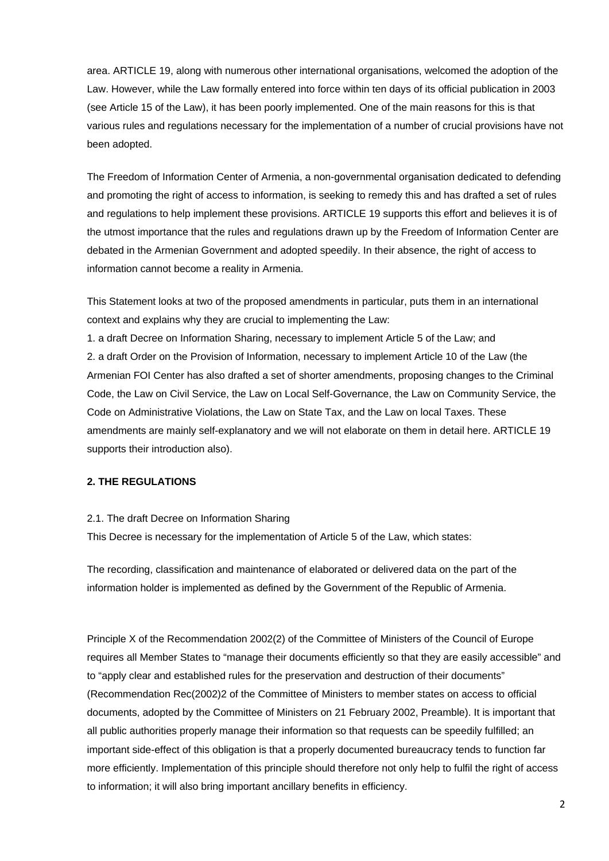area. ARTICLE 19, along with numerous other international organisations, welcomed the adoption of the Law. However, while the Law formally entered into force within ten days of its official publication in 2003 (see Article 15 of the Law), it has been poorly implemented. One of the main reasons for this is that various rules and regulations necessary for the implementation of a number of crucial provisions have not been adopted.

The Freedom of Information Center of Armenia, a non-governmental organisation dedicated to defending and promoting the right of access to information, is seeking to remedy this and has drafted a set of rules and regulations to help implement these provisions. ARTICLE 19 supports this effort and believes it is of the utmost importance that the rules and regulations drawn up by the Freedom of Information Center are debated in the Armenian Government and adopted speedily. In their absence, the right of access to information cannot become a reality in Armenia.

This Statement looks at two of the proposed amendments in particular, puts them in an international context and explains why they are crucial to implementing the Law:

1. a draft Decree on Information Sharing, necessary to implement Article 5 of the Law; and 2. a draft Order on the Provision of Information, necessary to implement Article 10 of the Law (the Armenian FOI Center has also drafted a set of shorter amendments, proposing changes to the Criminal Code, the Law on Civil Service, the Law on Local Self-Governance, the Law on Community Service, the Code on Administrative Violations, the Law on State Tax, and the Law on local Taxes. These amendments are mainly self-explanatory and we will not elaborate on them in detail here. ARTICLE 19 supports their introduction also).

## **2. THE REGULATIONS**

## 2.1. The draft Decree on Information Sharing

This Decree is necessary for the implementation of Article 5 of the Law, which states:

The recording, classification and maintenance of elaborated or delivered data on the part of the information holder is implemented as defined by the Government of the Republic of Armenia.

Principle X of the Recommendation 2002(2) of the Committee of Ministers of the Council of Europe requires all Member States to "manage their documents efficiently so that they are easily accessible" and to "apply clear and established rules for the preservation and destruction of their documents" (Recommendation Rec(2002)2 of the Committee of Ministers to member states on access to official documents, adopted by the Committee of Ministers on 21 February 2002, Preamble). It is important that all public authorities properly manage their information so that requests can be speedily fulfilled; an important side-effect of this obligation is that a properly documented bureaucracy tends to function far more efficiently. Implementation of this principle should therefore not only help to fulfil the right of access to information; it will also bring important ancillary benefits in efficiency.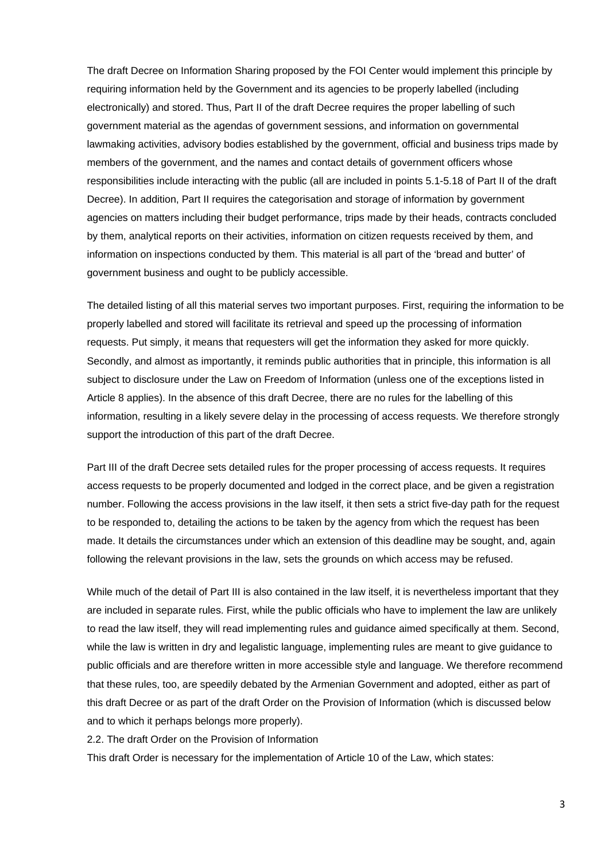The draft Decree on Information Sharing proposed by the FOI Center would implement this principle by requiring information held by the Government and its agencies to be properly labelled (including electronically) and stored. Thus, Part II of the draft Decree requires the proper labelling of such government material as the agendas of government sessions, and information on governmental lawmaking activities, advisory bodies established by the government, official and business trips made by members of the government, and the names and contact details of government officers whose responsibilities include interacting with the public (all are included in points 5.1-5.18 of Part II of the draft Decree). In addition, Part II requires the categorisation and storage of information by government agencies on matters including their budget performance, trips made by their heads, contracts concluded by them, analytical reports on their activities, information on citizen requests received by them, and information on inspections conducted by them. This material is all part of the 'bread and butter' of government business and ought to be publicly accessible.

The detailed listing of all this material serves two important purposes. First, requiring the information to be properly labelled and stored will facilitate its retrieval and speed up the processing of information requests. Put simply, it means that requesters will get the information they asked for more quickly. Secondly, and almost as importantly, it reminds public authorities that in principle, this information is all subject to disclosure under the Law on Freedom of Information (unless one of the exceptions listed in Article 8 applies). In the absence of this draft Decree, there are no rules for the labelling of this information, resulting in a likely severe delay in the processing of access requests. We therefore strongly support the introduction of this part of the draft Decree.

Part III of the draft Decree sets detailed rules for the proper processing of access requests. It requires access requests to be properly documented and lodged in the correct place, and be given a registration number. Following the access provisions in the law itself, it then sets a strict five-day path for the request to be responded to, detailing the actions to be taken by the agency from which the request has been made. It details the circumstances under which an extension of this deadline may be sought, and, again following the relevant provisions in the law, sets the grounds on which access may be refused.

While much of the detail of Part III is also contained in the law itself, it is nevertheless important that they are included in separate rules. First, while the public officials who have to implement the law are unlikely to read the law itself, they will read implementing rules and guidance aimed specifically at them. Second, while the law is written in dry and legalistic language, implementing rules are meant to give guidance to public officials and are therefore written in more accessible style and language. We therefore recommend that these rules, too, are speedily debated by the Armenian Government and adopted, either as part of this draft Decree or as part of the draft Order on the Provision of Information (which is discussed below and to which it perhaps belongs more properly).

2.2. The draft Order on the Provision of Information

This draft Order is necessary for the implementation of Article 10 of the Law, which states: